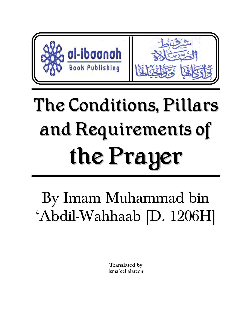

# The Conditions, Pillars and Requirements of the Prayer

By Imam Muhammad bin 'Abdil-Wahhaab [D. 1206H]

> **Translated by**  isma'eel alarcon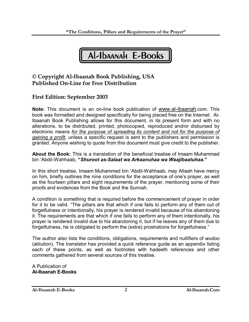

## **© Copyright Al-Ibaanah Book Publishing, USA Published On-Line for Free Distribution**

## **First Edition: September 2003**

**Note:** This document is an on-line book publication of www.al-ibaanah.com. This book was formatted and designed specifically for being placed free on the Internet. Al-Ibaanah Book Publishing allows for this document, in its present form and with no alterations, to be distributed, printed, photocopied, reproduced and/or disbursed by electronic means *for the purpose of spreading its content and not for the purpose of gaining a profit,* unless a specific request is sent to the publishers and permission is granted. Anyone wishing to quote from this document must give credit to the publisher.

**About the Book:** This is a translation of the beneficial treatise of Imaam Muhammad bin 'Abdil-Wahhaab, **"***Shuroot as-Salaat wa Arkaanuhaa wa Waajibaatuhaa.***"**

In this short treatise, Imaam Muhammad bin 'Abdil-Wahhaab, may Allaah have mercy on him, briefly outlines the nine conditions for the acceptance of one's prayer, as well as the fourteen pillars and eight requirements of the prayer, mentioning some of their proofs and evidences from the Book and the Sunnah.

A condition is something that is required before the commencement of prayer in order for it to be valid. "The pillars are that which if one fails to perform any of them out of forgetfulness or intentionally, his prayer is rendered invalid because of his abandoning it. The requirements are that which if one fails to perform any of them intentionally, his prayer is rendered invalid due to his abandoning it, but if he leaves any of them due to forgetfulness, he is obligated to perform the (extra) prostrations for forgetfulness."

The author also lists the conditions, obligations, requirements and nullifiers of *wudoo*  (ablution). The translator has provided a quick reference guide as an appendix listing each of these points, as well as footnotes with hadeeth references and other comments gathered from several sources of this treatise.

A Publication of **Al-Ibaanah E-Books**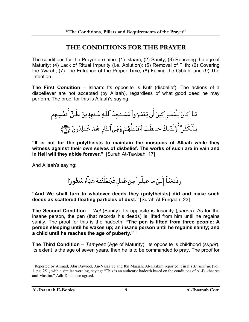# **THE CONDITIONS FOR THE PRAYER**

The conditions for the Prayer are nine: (1) Islaam; (2) Sanity; (3) Reaching the age of Maturity; (4) Lack of Ritual Impurity (i.e. Ablution); (5) Removal of Filth; (6) Covering the 'Awrah; (7) The Entrance of the Proper Time; (8) Facing the Qiblah; and (9) The **Intention** 

**The First Condition** – Islaam: Its opposite is Kufr (disbelief). The actions of a disbeliever are not accepted (by Allaah), regardless of what good deed he may perform. The proof for this is Allaah's saying:

مَـا كَانَ لِلْمُشُـرِ كِينَ أَن يَعُمُرُواْ مَسَــْجِدَ ٱللَّـهِ شَــْـهِدِينَ عَلَـنٌ أَنفُسِـهِم بِٱلۡكُفۡرِ ۚ أُوْلَنَبِكَ حَبِطَتُ أَعۡمَـٰلُهُمۡ وَفِى ٱلنَّارِ هُمۡ خَـٰلِدُونَ ۞

**"It is not for the polytheists to maintain the mosques of Allaah while they witness against their own selves of disbelief. The works of such are in vain and in Hell will they abide forever."** [Surah At-Tawbah: 17]

And Allaah's saying:

وَقَدِمُنَآ إِلَىٰٓ مَا عَمِلُواْ مِنۡ عَمَل فَجَعَلۡنَـٰهُ هَبَٱءٞ مَّنثُورًا

**"And We shall turn to whatever deeds they (polytheists) did and make such deeds as scattered floating particles of dust."** [Surah Al-Furqaan: 23]

**The Second Condition** – *'Aql* (Sanity): Its opposite is Insanity (*junoon*). As for the insane person, the pen (that records his deeds) is lifted from him until he regains sanity. The proof for this is the hadeeth: **"The pen is lifted from three people: A person sleeping until he wakes up; an insane person until he regains sanity; and a child until he reaches the age of puberty."** <sup>1</sup>

**The Third Condition** – *Tamyeez* (Age of Maturity): Its opposite is childhood (s*ughr*). Its extent is the age of seven years, then he is to be commanded to pray. The proof for

 $\overline{a}$ 

<sup>&</sup>lt;sup>1</sup> Reported by Ahmad, Abu Dawood, An-Nasaa'ee and Ibn Maajah. Al-Haakim reported it in his *Mustadrak* (vol. 1, pg. 251) with a similar wording, saying: "This is an authentic hadeeth based on the conditions of Al-Bukhaaree and Muslim." Adh-Dhahabee agreed.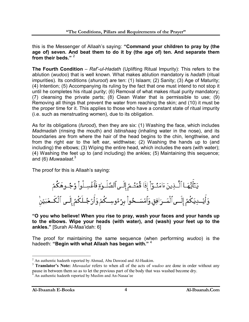this is the Messenger of Allaah's saying: **"Command your children to pray by (the age of) seven. And beat them to do it by (the age of) ten. And separate them from their beds."** <sup>2</sup>

**The Fourth Condition** – *Raf'-ul-Hadath* (Uplifting Ritual Impurity): This refers to the ablution (*wudoo*) that is well known. What makes ablution mandatory is *hadath* (ritual impurities). Its conditions (*shuroot*) are ten: (1) Islaam; (2) Sanity; (3) Age of Maturity; (4) Intention; (5) Accompanying its ruling by the fact that one must intend to not stop it until he completes his ritual purity; (6) Removal of what makes ritual purity mandatory; (7) cleansing the private parts; (8) Clean Water that is permissible to use; (9) Removing all things that prevent the water from reaching the skin; and (10) it must be the proper time for it. This applies to those who have a constant state of ritual impurity (i.e. such as menstruating women), due to its obligation.

As for its obligations (*furood*), then they are six: (1) Washing the face, which includes *Madmadah* (rinsing the mouth) and *Istinshaaq* (inhaling water in the nose), and its boundaries are from where the hair of the head begins to the chin, lengthwise, and from the right ear to the left ear, widthwise; (2) Washing the hands up to (and including) the elbows; (3) Wiping the entire head, which includes the ears (with water); (4) Washing the feet up to (and including) the ankles; (5) Maintaining this sequence; and (6) *Muwaalaat*. 3

The proof for this is Allaah's saying:

|  |  | يَتَأَيُّهَـا ٱلَّـٰذِينَ ءَامَنُـوٓاْ إِذَا قُمَّتُـمۡ إِلَـٰىٱلصَّلَـوٰۃِ فَٱغۡسِـلُواْ وُجُــوهَكُمُ        |  |  |
|--|--|----------------------------------------------------------------------------------------------------------------|--|--|
|  |  | وَأَيُسدِيَكُمُ إِلَــىٱلْمَــرَافِقِ وَٱمۡسَــحُوا۟ بِرُءُوسِــكُمۡ وَأَرۡحُــلَكُمۡۚ إِلَــى ٱلۡكَــعۡبَيُنۡ |  |  |

**"O you who believe! When you rise to pray, wash your faces and your hands up to the elbows. Wipe your heads (with water), and (wash) your feet up to the ankles."** [Surah Al-Maa'idah: 6]

The proof for maintaining the same sequence (when performing *wudoo*) is the hadeeth: **"Begin with what Allaah has began with."** <sup>4</sup>

<sup>&</sup>lt;sup>2</sup> An authentic hadeeth reported by Ahmad, Abu Dawood and Al-Haakim.

<sup>3</sup> **Translator's Note:** *Muwaalat* refers to when all of the acts of *wudoo* are done in order without any pause in between them so as to let the previous part of the body that was washed become dry.

<sup>4</sup> An authentic hadeeth reported by Muslim and An-Nasaa'ee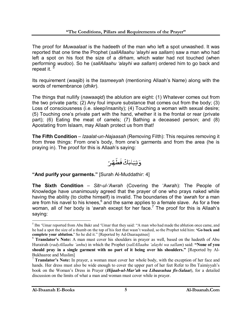The proof for *Muwaalaat* is the hadeeth of the man who left a spot unwashed. It was reported that one time the Prophet (*sallAllaahu 'alayhi wa sallam*) saw a man who had left a spot on his foot the size of a *dirham*, which water had not touched (when performing *wudoo*). So he (*sallAllaahu 'alayhi wa sallam*) ordered him to go back and repeat it.

Its requirement (*waajib*) is the *tasmeeyah* (mentioning Allaah's Name) along with the words of remembrance (*dhikr*).

The things that nullify (*nawaaqid*) the ablution are eight: (1) Whatever comes out from the two private parts; (2) Any foul impure substance that comes out from the body; (3) Loss of consciousness (i.e. sleep/insanity); (4) Touching a woman with sexual desire; (5) Touching one's private part with the hand, whether it is the frontal or rear (private part); (6) Eating the meat of camels; (7) Bathing a deceased person; and (8) Apostating from Islaam, may Allaah protect us from that!

**The Fifth Condition** – *Izaalat-un-Najaasah* (Removing Filth): This requires removing it from three things: From one's body, from one's garments and from the area (he is praying in). The proof for this is Allaah's saying:

**"And purify your garments."** [Surah Al-Muddathir: 4]

**The Sixth Condition** – *Sitr-ul-'Awrah* (Covering the 'Awrah): The People of Knowledge have unanimously agreed that the prayer of one who prays naked while having the ability (to clothe himself) is invalid. The boundaries of the 'awrah for a man are from his navel to his knees, $^6$  and the same applies to a female slave. As for a free woman, all of her body is 'awrah except for her face.<sup>7</sup> The proof for this is Allaah's saying:

 $\overline{a}$ <sup>5</sup> Ibn 'Umar reported from Abu Bakr and 'Umar that they said: "A man who had made the ablution once came, and he had a spot the size of a thumb on the top of his feet that wasn't washed, so the Prophet told him: **'Go back and complete your ablution.'** So he did it." [Reported by Ad-Daaraqutnee]

<sup>6</sup> **Translator's Note:** A man must cover his shoulders in prayer as well, based on the hadeeth of Abu Hurairah (*radyAllaahu 'anhu*) in which the Prophet (*sallAllaahu 'alayhi wa sallam*) said: **"None of you should pray in a single garment with no part of it being over his shoulders."** [Reported by Al-Bukhaaree and Muslim]

<sup>7</sup> **Translator's Note:** In prayer, a woman must cover her whole body, with the exception of her face and hands. Her dress must also be wide enough to cover the upper part of her feet Refer to Ibn Taimiyyah's book on the Woman's Dress in Prayer (*Hijaab-ul-Mar'ah wa Libaasuhaa fis-Salaat*), for a detailed discussion on the limits of what a man and woman must cover while in prayer.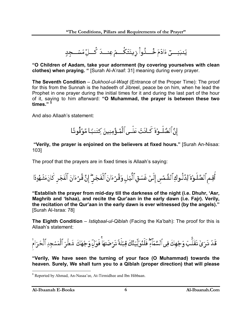يَنبَنِسِـــق ءَادَمَ خُســدُّواْ رَينَتَكُسمُ عِنسـدَ كُسالٌ مَسُســجِدٍ

**"O Children of Aadam, take your adornment (by covering yourselves with clean clothes) when praying. "** [Surah Al-A'raaf: 31] meaning during every prayer.

**The Seventh Condition** – *Dukhool-ul-Waqt* (Entrance of the Proper Time): The proof for this from the Sunnah is the hadeeth of Jibreel, peace be on him, when he lead the Prophet in one prayer during the initial times for it and during the last part of the hour of it, saying to him afterward: **"O Muhammad, the prayer is between these two times."** <sup>8</sup>

And also Allaah's statement:

إِنَّ ٱلصَّلَـوٰةَ كَـانَتُ عَلَـىٱلْمُـؤْمِنِينَ كِتَـٰبًا مَّوَقُوتًا

**"Verily, the prayer is enjoined on the believers at fixed hours."** [Surah An-Nisaa: 103]

The proof that the prayers are in fixed times is Allaah's saying:

أَقِم ٱلصَّلَوٰةَ لِدُلُوكِ ٱلشَّمُسِ إِلَىٰ غَسَقِ ٱلَّيِّلِ وَقُرْءَانَ ٱلْفَجِّرِ ۖ إِنَّ قُرْءَانَ ٱلْفَجْرِ كَانَ مَشْهُودًا

**"Establish the prayer from mid-day till the darkness of the night (i.e. Dhuhr, 'Asr, Maghrib and 'Ishaa), and recite the Qur'aan in the early dawn (i.e. Fajr). Verily, the recitation of the Qur'aan in the early dawn is ever witnessed (by the angels)."** [Surah Al-Israa: 78]

**The Eighth Condition** – *Istiqbaal-ul-Qiblah* (Facing the Ka'bah): The proof for this is Allaah's statement:

قَدٌ ذَرَىٰ تَقَلُّبَ وَجُهِكَ فِى ٱلسَّمَآءِ ۖ فَلَنُوَلِّيَنَّكَ قِبُلَةً تَرۡضَىٰهَاۚ فَوَلِّ وَجُهَكَ شَطُرَ ٱلۡمَسۡجِدِ ٱلۡحَرَامَۚ

**"Verily, We have seen the turning of your face (O Muhammad) towards the heaven. Surely, We shall turn you to a Qiblah (proper direction) that will please** 

<sup>&</sup>lt;sup>8</sup> Reported by Ahmad, An-Nasaa'ee, At-Tirmidhee and Ibn Hibbaan.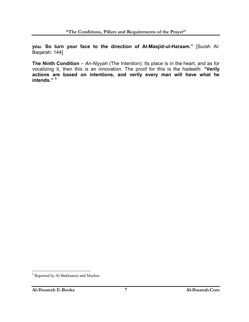**you. So turn your face to the direction of Al-Masjid-ul-Haraam."** [Surah Al-Baqarah: 144]

**The Ninth Condition** – An-Niyyah (The Intention): Its place is in the heart, and as for vocalizing it, then this is an innovation. The proof for this is the hadeeth: **"Verily actions are based on intentions, and verily every man will have what he intends."** <sup>9</sup>

<sup>&</sup>lt;sup>9</sup> Reported by Al-Bukhaaree and Muslim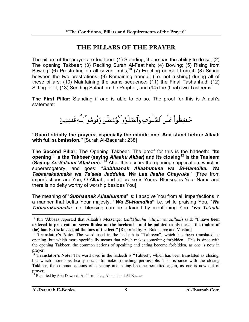## **THE PILLARS OF THE PRAYER**

The pillars of the prayer are fourteen: (1) Standing, if one has the ability to do so; (2) The opening Takbeer; (3) Reciting Surah Al-Faatihah; (4) Bowing; (5) Rising from Bowing; (6) Prostrating on all seven limbs;<sup>10</sup> (7) Erecting oneself from it; (8) Sitting between the two prostrations; (9) Remaining tranquil (i.e. not rushing) during all of these pillars; (10) Maintaining the same sequence; (11) the Final Tashahhud; (12) Sitting for it; (13) Sending Salaat on the Prophet; and (14) the (final) two Tasleems.

**The First Pillar:** Standing if one is able to do so. The proof for this is Allaah's statement:

حَنفِظُواْ عَلَى ٱلصَّلَوَتِ وَٱلصَّلَوٰةِ ٱلْوُسُطَىٰ وَقُومُواْ لِلَّهِ قَننِتِينَ

**"Guard strictly the prayers, especially the middle one. And stand before Allaah with full submission."** [Surah Al-Baqarah: 238]

**The Second Pillar:** The Opening Takbeer. The proof for this is the hadeeth: **"Its opening**<sup>11</sup> **is the Takbeer (saying** *Allaahu Akbar***) and its closing**<sup>12</sup> **is the Tasleem (Saying** *As-Salaam 'Alaikum***)."**13 After this occurs the opening supplication, which is supererogatory, and goes: "*Subhaanak Allaahumma wa Bi-Hamdika. Wa Tabaarakasmaka wa Ta'aala Jadduka. Wa Laa Ilaaha Ghayruka*." [Free from imperfections are You, O Allaah, and all praise is Yours. Blessed is Your Name and there is no deity worthy of worship besides You]

The meaning of "*Subhaanak Allaahumma*" is: I absolve You from all imperfections in a manner that befits Your majesty. **"***Wa Bi-Hamdika***"** i.e. while praising You. "*Wa Tabaarakasmaka*" i.e. blessing can be attained by mentioning You. "*wa Ta'aala* 

 $\overline{a}$ 

<sup>10</sup> Ibn 'Abbaas reported that Allaah's Messenger (*sallAllaahu 'alayhi wa sallam*) said: **"I have been ordered to prostrate on seven limbs: on the forehead – and he pointed to his nose – the (palms of the) hands, the knees and the toes of the feet."** [Reported by Al-Bukhaaree and Muslim]

<sup>&</sup>lt;sup>11</sup> **Translator's Note:** The word used in the hadeeth is "Tahreem", which has been translated as opening, but which more specifically means that which makes something forbidden. This is since with the opening Takbeer, the common actions of speaking and eating become forbidden, as one is now in prayer.

<sup>&</sup>lt;sup>12</sup> **Translator's Note:** The word used in the hadeeth is "Tahleel", which has been translated as closing, but which more specifically means to make something permissible. This is since with the closing Takbeer, the common actions of speaking and eating become permitted again, as one is now out of prayer.

<sup>&</sup>lt;sup>13</sup> Reported by Abu Dawood, At-Tirmidhee, Ahmad and Al-Bazaar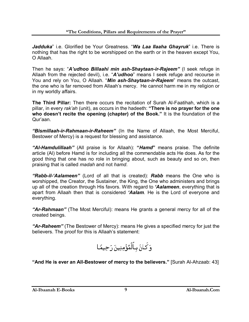*Jadduka*" i.e. Glorified be Your Greatness. "*Wa Laa Ilaaha Ghayruk*" i.e. There is nothing that has the right to be worshipped on the earth or in the heaven except You, O Allaah.

Then he says: "*A'udhoo Billaahi min ash-Shaytaan-ir-Rajeem"* (I seek refuge in Allaah from the rejected devil), i.e. "*A'udhoo*" means I seek refuge and recourse in You and rely on You, O Allaah. "*Min ash-Shaytaan-ir-Rajeem*" means the outcast, the one who is far removed from Allaah's mercy. He cannot harm me in my religion or in my worldly affairs.

**The Third Pillar:** Then there occurs the recitation of Surah Al-Faatihah, which is a pillar, in every *rak'ah* (unit), as occurs in the hadeeth: **"There is no prayer for the one who doesn't recite the opening (chapter) of the Book."** It is the foundation of the Qur'aan.

*"Bismillaah-ir-Rahmaan-ir-Raheem"* (In the Name of Allaah, the Most Merciful, Bestower of Mercy) is a request for blessing and assistance.

*"Al-Hamdulillaah"* (All praise is for Allaah): **"***Hamd***"** means praise. The definite article (Al) before Hamd is for including all the commendable acts He does. As for the good thing that one has no role in bringing about, such as beauty and so on, then praising that is called *madah* and not *hamd*.

*"Rabb-il-'Aalameen"* (Lord of all that is created): *Rabb* means the One who is worshipped, the Creator, the Sustainer, the King, the One who administers and brings up all of the creation through His favors. With regard to *'Aalameen*, everything that is apart from Allaah then that is considered *'Aalam.* He is the Lord of everyone and everything.

*"Ar-Rahmaan"* (The Most Merciful): means He grants a general mercy for all of the created beings.

*"Ar-Raheem"* (The Bestower of Mercy): means He gives a specified mercy for just the believers. The proof for this is Allaah's statement:



**"And He is ever an All-Bestower of mercy to the believers."** [Surah Al-Ahzaab: 43]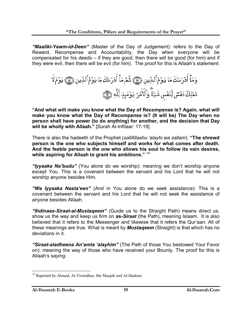*"Maaliki-Yawm-id-Deen"* (Master of the Day of Judgement): refers to the Day of Reward, Recompense and Accountability, the Day when everyone will be compensated for his deeds – if they are good, then there will be good (for him) and if they were evil, then there will be evil (for him). The proof for this is Allaah's statement:

**"And what will make you know what the Day of Recompense is? Again, what will make you know what the Day of Recompense is? (It will be) The Day when no person shall have power (to do anything) for another, and the decision that Day will be wholly with Allaah."** [Surah Al-Infitaar: 17-19]

There is also the hadeeth of the Prophet (*sallAllaahu 'alayhi wa sallam*): **"The shrewd person is the one who subjects himself and works for what comes after death. And the feeble person is the one who allows his soul to follow its vain desires, while aspiring for Allaah to grant his ambitions."** <sup>14</sup>

*"Iyyaaka Na'budu"* (You alone do we worship): meaning we don't worship anyone except You. This is a covenant between the servant and his Lord that he will not worship anyone besides Him.

*"Wa Iyyaaka Nasta'een"* (And in You alone do we seek assistance): This is a covenant between the servant and his Lord that he will not seek the assistance of anyone besides Allaah.

*"Ihdinaas-Siraat-al-Mustaqeem"* (Guide us to the Straight Path) means direct us, show us the way and keep us firm on **as-***Siraat* (the Path), meaning Islaam. It is also believed that it refers to the Messenger and likewise that it refers the Qur'aan. All of these meanings are true. What is meant by *Mustaqeem* (Straight) is that which has no deviations in it.

*"Siraat-aladheena An'amta 'alayhim"* (The Path of those You bestowed Your Favor on): meaning the way of those who have received your Bounty. The proof for this is Allaah's saying:

 $\overline{a}$ <sup>14</sup> Reported by Ahmad, At-Tirmidhee, Ibn Maajah and Al-Haakim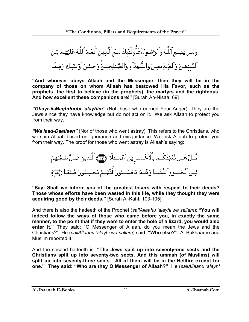

**"And whoever obeys Allaah and the Messenger, then they will be in the company of those on whom Allaah has bestowed His Favor, such as the prophets, the first to believe (in the prophets), the martyrs and the righteous. And how excellent these companions are!"** [Surah An-Nisaa: 69]

*"Ghayr-il-Maghdoobi 'alayhim"* (Not those who earned Your Anger): They are the Jews since they have knowledge but do not act on it. We ask Allaah to protect you from their way.

*"Wa laad-Daalleen"* {Nor of those who went astray): This refers to the Christians, who worship Allaah based on ignorance and misguidance. We ask Allaah to protect you from their way. The proof for those who went astray is Allaah's saying:

**"Say: Shall we inform you of the greatest losers with respect to their deeds? Those whose efforts have been wasted in this life, while they thought they were acquiring good by their deeds."** [Surah Al-Kahf: 103-105]

And there is also the hadeeth of the Prophet (*sallAllaahu 'alayhi wa sallam*): **"You will indeed follow the ways of those who came before you, in exactly the same manner, to the point that if they were to enter the hole of a lizard, you would also enter it."** They said: "O Messenger of Allaah, do you mean the Jews and the Christians?" He (*sallAllaahu 'alayhi wa sallam*) said: **"Who else?"** Al-Bukhaaree and Muslim reported it.

And the second hadeeth is: **"The Jews split up into seventy-one sects and the Christians split up into seventy-two sects. And this ummah (of Muslims) will split up into seventy-three sects. All of them will be in the Hellfire except for one." They said: "Who are they O Messenger of Allaah?"** He (*sallAllaahu 'alayhi*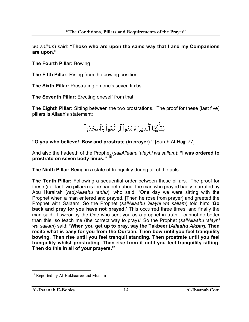*wa sallam*) said: **"Those who are upon the same way that I and my Companions are upon."**

**The Fourth Pillar:** Bowing

**The Fifth Pillar:** Rising from the bowing position

**The Sixth Pillar:** Prostrating on one's seven limbs.

**The Seventh Pillar:** Erecting oneself from that

**The Eighth Pillar:** Sitting between the two prostrations. The proof for these (last five) pillars is Allaah's statement:

يَنَأَيُّهَا ٱلَّذِينَ ءَامَنُواْ ٱرْكَعُواْ وَٱسْجُدُواْ

**"O you who believe! Bow and prostrate (in prayer)."** [Surah Al-Hajj: 77]

And also the hadeeth of the Prophet (*sallAllaahu 'alayhi wa sallam*): **"I was ordered to prostrate on seven body limbs."** <sup>15</sup>

**The Ninth Pillar:** Being in a state of tranquility during all of the acts.

**The Tenth Pillar:** Following a sequential order between these pillars. The proof for these (i.e. last two pillars) is the hadeeth about the man who prayed badly, narrated by Abu Hurairah (*radyAllaahu 'anhu*), who said: "One day we were sitting with the Prophet when a man entered and prayed. [Then he rose from prayer] and greeted the Prophet with Salaam. So the Prophet (*sallAllaahu 'alayhi wa sallam*) told him: **'Go back and pray for you have not prayed.'** This occurred three times, and finally the man said: 'I swear by the One who sent you as a prophet in truth, I cannot do better than this, so teach me (the correct way to pray).' So the Prophet (*sallAllaahu 'alayhi wa sallam*) said: **'When you get up to pray, say the Takbeer (***Allaahu Akbar***). Then recite what is easy for you from the Qur'aan. Then bow until you feel tranquility bowing. Then rise until you feel tranquil standing. Then prostrate until you feel tranquility whilst prostrating. Then rise from it until you feel tranquility sitting. Then do this in all of your prayers.'**"

 $\overline{a}$ <sup>15</sup> Reported by Al-Bukhaaree and Muslim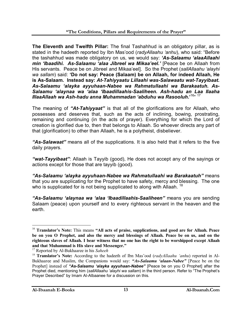**The Eleventh and Twelfth Pillar:** The final Tashahhud is an obligatory pillar, as is stated in the hadeeth reported by Ibn Mas'ood (*radyAllaahu 'anhu*), who said: "Before the tashahhud was made obligatory on us, we would say: *'As-Salaamu 'alaaAllaahi min 'Ibaadihi. As-Salaamu 'alaa Jibreel wa Mikaa'eel.'* [Peace be on Allaah from His servants. Peace be on Jibreel and Mikaa'eel]. So the Prophet (*sallAllaahu 'alayhi wa sallam*) said: **'Do not say: Peace (Salaam) be on Allaah, for indeed Allaah, He is As-Salaam. Instead say:** *At-Tahiyyaatu Lillaahi was-Salawaatu wat-Tayyibaat. As-Salaamu 'alayka ayyuhaan-Nabee wa Rahmatullaahi wa Barakaatuh. As-Salaamu 'alaynaa wa 'alaa 'Ibaadillaahis-Saaliheen. Ash-hadu an Laa Ilaaha IllaaAllaah wa Ash-hadu anna Muhammadan 'abduhu wa Rasooluh***.'**16" 17

The meaning of *"At-Tahiyyaat"* is that all of the glorifications are for Allaah, who possesses and deserves that, such as the acts of inclining, bowing, prostrating, remaining and continuing (in the acts of prayer). Everything for which the Lord of creation is glorified due to, then that belongs to Allaah. So whoever directs any part of that (glorification) to other than Allaah, he is a polytheist, disbeliever.

*"As-Salawaat"* means all of the supplications. It is also held that it refers to the five daily prayers.

*"wat-Tayyibaat"*: Allaah is Tayyib (good), He does not accept any of the sayings or actions except for those that are tayyib (good).

*"As-Salaamu 'alayka ayyuhaan-Nabee wa Rahmatullaahi wa Barakaatuh"* means that you are supplicating for the Prophet to have safety, mercy and blessing. The one who is supplicated for is not being supplicated to along with Allaah.<sup>18</sup>

*"As-Salaamu 'alaynaa wa 'alaa 'Ibaadillaahis-Saaliheen"* means you are sending Salaam (peace) upon yourself and to every righteous servant in the heaven and the earth.

 $\overline{a}$ 

<sup>16</sup> **Translator's Note:** This means **"All acts of praise, supplications, and good are for Allaah. Peace be on you O Prophet, and also the mercy and blessings of Allaah. Peace be on us, and on the righteous slaves of Allaah. I bear witness that no one has the right to be worshipped except Allaah and that Muhammad is His slave and Messenger."**

<sup>17</sup> Reported by Al-Bukhaaree in his *Saheeh*

<sup>18</sup> **Translator's Note:** According to the hadeeth of Ibn Mas'ood (*radyAllaahu 'anhu*) reported in Al-Bukhaaree and Muslim, the Companions would say: *"As-Salaamu 'alaan-Nabee"* [Peace be on the Prophet] instead of *"As-Salaamu 'alayka ayyuhaan-Nabee"* [Peace be on you O Prophet] after the Prophet died, mentioning him (*sallAllaahu 'alayhi wa sallam*) in the third person. Refer to "The Prophet's Prayer Described" by Imam Al-Albaanee for a discussion on this.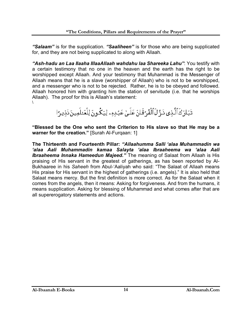*"Salaam"* is for the supplication. *"Saaliheen"* is for those who are being supplicated for, and they are not being supplicated to along with Allaah.

*"Ash-hadu an Laa Ilaaha IllaaAllaah wahdahu laa Shareeka Lahu"*: You testify with a certain testimony that no one in the heaven and the earth has the right to be worshipped except Allaah. And your testimony that Muhammad is the Messenger of Allaah means that he is a slave (worshipper of Allaah) who is not to be worshipped, and a messenger who is not to be rejected. Rather, he is to be obeyed and followed. Allaah honored him with granting him the station of servitude (i.e. that he worships Allaah). The proof for this is Allaah's statement: \

تَبَارَكَ ٱلَّذِى ذَرٍّلَ ٱلْفُرُقَانَ عَلَىٰ عَبُدِهِۦ لِيَكُونَ لِلْعَنلَمِينَ ذَذِيرًا

**"Blessed be the One who sent the Criterion to His slave so that He may be a warner for the creation."** [Surah Al-Furqaan: 1]

**The Thirteenth and Fourteenth Pillar:** *"Allaahumma Salli 'alaa Muhammadin wa 'alaa Aali Muhammadin kamaa Salayta 'alaa Ibraaheema wa 'alaa Aali Ibraaheema Innaka Hameedun Majeed."* The meaning of Salaat from Allaah is His praising of His servant in the greatest of gatherings, as has been reported by Al-Bukhaaree in his *Saheeh* from Abul-'Aaliyah who said: "The Salaat of Allaah means His praise for His servant in the highest of gatherings (i.e. angels)." It is also held that Salaat means mercy. But the first definition is more correct. As for the Salaat when it comes from the angels, then it means: Asking for forgiveness. And from the humans, it means supplication. Asking for blessing of Muhammad and what comes after that are all supererogatory statements and actions.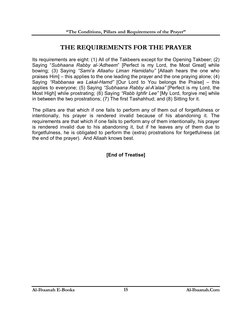# **THE REQUIREMENTS FOR THE PRAYER**

Its requirements are eight: (1) All of the Takbeers except for the Opening Takbeer; (2) Saying "*Subhaana Rabby al-'Adheem*" [Perfect is my Lord, the Most Great] while bowing; (3) Saying *"Sami'a Allaahu Liman Hamidahu"* [Allaah hears the one who praises Him] – this applies to the one leading the prayer and the one praying alone; (4) Saying *"Rabbanaa wa Lakal-Hamd"* [Our Lord to You belongs the Praise] – this applies to everyone; (5) Saying *"Subhaana Rabby al-A'alaa"* [Perfect is my Lord, the Most High] while prostrating; (6) Saying *"Rabb Ighfir Lee"* [My Lord, forgive me] while in between the two prostrations; (7) The first Tashahhud; and (8) Sitting for it.

The pillars are that which if one fails to perform any of them out of forgetfulness or intentionally, his prayer is rendered invalid because of his abandoning it. The requirements are that which if one fails to perform any of them intentionally, his prayer is rendered invalid due to his abandoning it, but if he leaves any of them due to forgetfulness, he is obligated to perform the (extra) prostrations for forgetfulness (at the end of the prayer). And Allaah knows best.

#### **[End of Treatise]**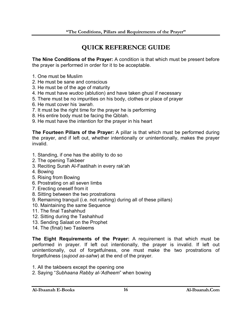# **QUICK REFERENCE GUIDE**

**The Nine Conditions of the Prayer:** A condition is that which must be present before the prayer is performed in order for it to be acceptable.

- 1. One must be Muslim
- 2. He must be sane and conscious
- 3. He must be of the age of maturity
- 4. He must have *wudoo* (ablution) and have taken ghusl if necessary
- 5. There must be no impurities on his body, clothes or place of prayer
- 6. He must cover his *'awrah*.
- 7. It must be the right time for the prayer he is performing
- 8. His entire body must be facing the Qiblah.
- 9. He must have the intention for the prayer in his heart

**The Fourteen Pillars of the Prayer:** A pillar is that which must be performed during the prayer, and if left out, whether intentionally or unintentionally, makes the prayer invalid.

- 1. Standing, if one has the ability to do so
- 2. The opening Takbeer
- 3. Reciting Surah Al-Faatihah in every rak'ah
- 4. Bowing
- 5. Rising from Bowing
- 6. Prostrating on all seven limbs
- 7. Erecting oneself from it
- 8. Sitting between the two prostrations
- 9. Remaining tranquil (i.e. not rushing) during all of these pillars)
- 10. Maintaining the same Sequence
- 11. The final Tashahhud
- 12. Sitting during the Tashahhud
- 13. Sending Salaat on the Prophet
- 14. The (final) two Tasleems

**The Eight Requirements of the Prayer:** A requirement is that which must be performed in prayer. If left out intentionally, the prayer is invalid. If left out unintentionally, out of forgetfulness, one must make the two prostrations of forgetfulness (*sujood as-sahw*) at the end of the prayer.

- 1. All the takbeers except the opening one
- 2. Saying "*Subhaana Rabby al-'Adheem*" when bowing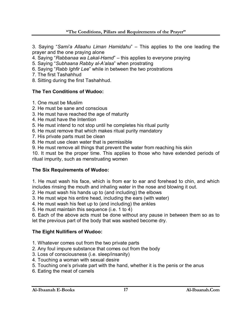3. Saying "*Sami'a Allaahu Liman Hamidahu*" – This applies to the one leading the prayer and the one praying alone

4. Saying "*Rabbanaa wa Lakal-Hamd*" – this applies to everyone praying

- 5. Saying "*Subhaana Rabby al-A'alaa*" when prostrating
- 6. Saying "*Rabb Ighfir Lee*" while in between the two prostrations
- 7. The first Tashahhud

8. Sitting during the first Tashahhud.

## **The Ten Conditions of Wudoo:**

- 1. One must be Muslim
- 2. He must be sane and conscious
- 3. He must have reached the age of maturity
- 4. He must have the Intention
- 5. He must intend to not stop until he completes his ritual purity
- 6. He must remove that which makes ritual purity mandatory
- 7. His private parts must be clean
- 8. He must use clean water that is permissible
- 9. He must remove all things that prevent the water from reaching his skin

10. It must be the proper time. This applies to those who have extended periods of ritual impurity, such as menstruating women

#### **The Six Requirements of Wudoo:**

1. He must wash his face, which is from ear to ear and forehead to chin, and which includes rinsing the mouth and inhaling water in the nose and blowing it out.

2. He must wash his hands up to (and including) the elbows

- 3. He must wipe his entire head, including the ears (with water)
- 4. He must wash his feet up to (and including) the ankles

5. He must maintain this sequence (i.e. 1 to 4)

6. Each of the above acts must be done without any pause in between them so as to let the previous part of the body that was washed become dry.

#### **The Eight Nullifiers of Wudoo:**

- 1. Whatever comes out from the two private parts
- 2. Any foul impure substance that comes out from the body
- 3. Loss of consciousness (i.e. sleep/insanity)
- 4. Touching a woman with sexual desire
- 5. Touching one's private part with the hand, whether it is the penis or the anus
- 6. Eating the meat of camels